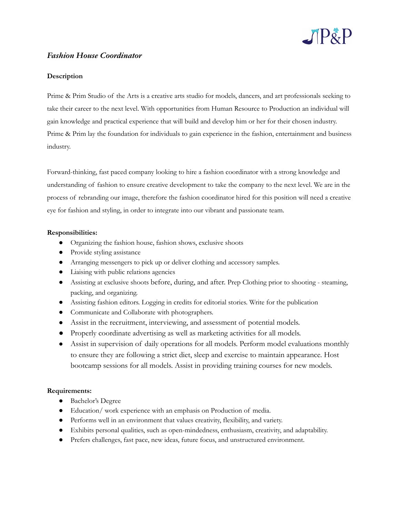

## *Fashion House Coordinator*

## **Description**

Prime & Prim Studio of the Arts is a creative arts studio for models, dancers, and art professionals seeking to take their career to the next level. With opportunities from Human Resource to Production an individual will gain knowledge and practical experience that will build and develop him or her for their chosen industry. Prime & Prim lay the foundation for individuals to gain experience in the fashion, entertainment and business industry.

Forward-thinking, fast paced company looking to hire a fashion coordinator with a strong knowledge and understanding of fashion to ensure creative development to take the company to the next level. We are in the process of rebranding our image, therefore the fashion coordinator hired for this position will need a creative eye for fashion and styling, in order to integrate into our vibrant and passionate team.

## **Responsibilities:**

- Organizing the fashion house, fashion shows, exclusive shoots
- Provide styling assistance
- Arranging messengers to pick up or deliver clothing and accessory samples.
- Liaising with public relations agencies
- Assisting at exclusive shoots before, during, and after. Prep Clothing prior to shooting steaming, packing, and organizing.
- Assisting fashion editors. Logging in credits for editorial stories. Write for the publication
- Communicate and Collaborate with photographers.
- Assist in the recruitment, interviewing, and assessment of potential models.
- Properly coordinate advertising as well as marketing activities for all models.
- Assist in supervision of daily operations for all models. Perform model evaluations monthly to ensure they are following a strict diet, sleep and exercise to maintain appearance. Host bootcamp sessions for all models. Assist in providing training courses for new models.

## **Requirements:**

- Bachelor's Degree
- Education/ work experience with an emphasis on Production of media.
- Performs well in an environment that values creativity, flexibility, and variety.
- Exhibits personal qualities, such as open-mindedness, enthusiasm, creativity, and adaptability.
- Prefers challenges, fast pace, new ideas, future focus, and unstructured environment.